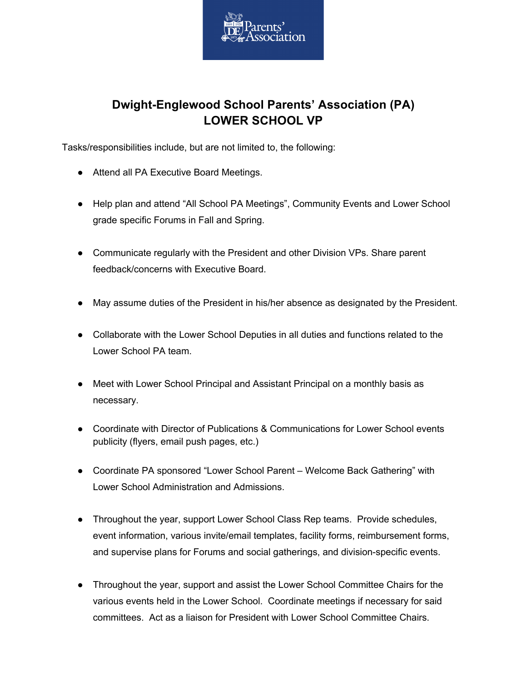

## **Dwight-Englewood School Parents' Association (PA) LOWER SCHOOL VP**

Tasks/responsibilities include, but are not limited to, the following:

- Attend all PA Executive Board Meetings.
- Help plan and attend "All School PA Meetings", Community Events and Lower School grade specific Forums in Fall and Spring.
- Communicate regularly with the President and other Division VPs. Share parent feedback/concerns with Executive Board.
- May assume duties of the President in his/her absence as designated by the President.
- Collaborate with the Lower School Deputies in all duties and functions related to the Lower School PA team.
- Meet with Lower School Principal and Assistant Principal on a monthly basis as necessary.
- Coordinate with Director of Publications & Communications for Lower School events publicity (flyers, email push pages, etc.)
- Coordinate PA sponsored "Lower School Parent Welcome Back Gathering" with Lower School Administration and Admissions.
- Throughout the year, support Lower School Class Rep teams. Provide schedules, event information, various invite/email templates, facility forms, reimbursement forms, and supervise plans for Forums and social gatherings, and division-specific events.
- Throughout the year, support and assist the Lower School Committee Chairs for the various events held in the Lower School. Coordinate meetings if necessary for said committees. Act as a liaison for President with Lower School Committee Chairs.